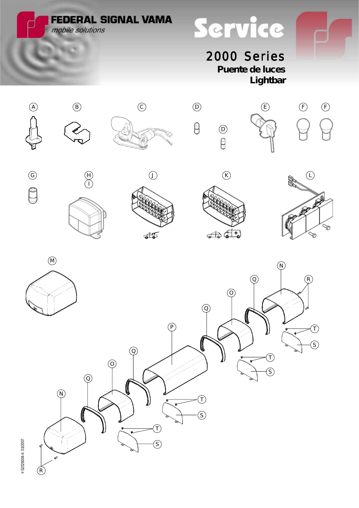**FEDERAL SIGNAL VAMA** mobile solutions

Service

2000 Series **Puente de luces**

*Lightbar*



 $\circledS$ 

 $\widehat{\mathcal{T}}$ 

S

# \$2026004-4 03/2007 # S2026004-4 03/2007

R